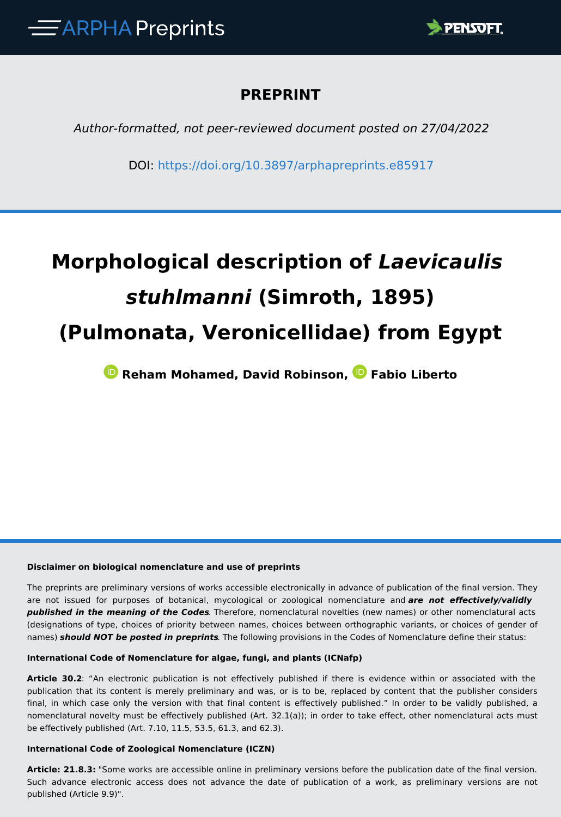

# **PREPRINT**

*Author-formatted, not peer-reviewed document posted on 27/04/2022*

DOI:<https://doi.org/10.3897/arphapreprints.e85917>

# **Morphological description of** *Laevicaulis stuhlmanni* **(Simroth, 1895) (Pulmonata, Veronicellidae) from Egypt**

 **Reham Mohamed, David Robinson,Fabio Liberto**

#### **Disclaimer on biological nomenclature and use of preprints**

The preprints are preliminary versions of works accessible electronically in advance of publication of the final version. They are not issued for purposes of botanical, mycological or zoological nomenclature and *are not effectively/validly published in the meaning of the Codes*. Therefore, nomenclatural novelties (new names) or other nomenclatural acts (designations of type, choices of priority between names, choices between orthographic variants, or choices of gender of names) *should NOT be posted in preprints*. The following provisions in the Codes of Nomenclature define their status:

#### **International Code of Nomenclature for algae, fungi, and plants (ICNafp)**

**Article 30.2**: "An electronic publication is not effectively published if there is evidence within or associated with the publication that its content is merely preliminary and was, or is to be, replaced by content that the publisher considers final, in which case only the version with that final content is effectively published." In order to be validly published, a nomenclatural novelty must be effectively published (Art. 32.1(a)); in order to take effect, other nomenclatural acts must be effectively published (Art. 7.10, 11.5, 53.5, 61.3, and 62.3).

#### **International Code of Zoological Nomenclature (ICZN)**

**Article: 21.8.3:** "Some works are accessible online in preliminary versions before the publication date of the final version. Such advance electronic access does not advance the date of publication of a work, as preliminary versions are not published (Article 9.9)".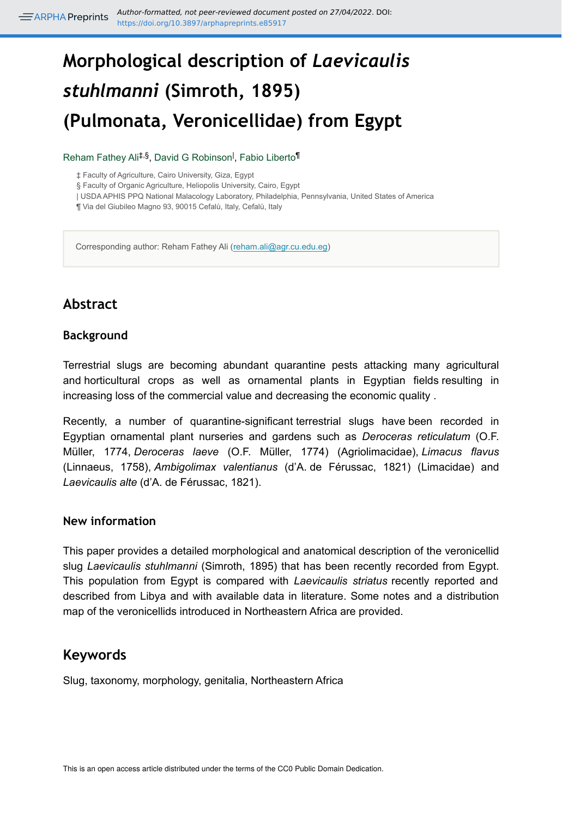# **Morphological description of** *Laevicaulis stuhlmanni* **(Simroth, 1895) (Pulmonata, Veronicellidae) from Egypt**

#### Reham Fathey Ali<sup>‡,§</sup>, David G Robinson<sup>I</sup>, Fabio Liberto<sup>¶</sup>

‡ Faculty of Agriculture, Cairo University, Giza, Egypt

§ Faculty of Organic Agriculture, Heliopolis University, Cairo, Egypt

| USDA APHIS PPQ National Malacology Laboratory, Philadelphia, Pennsylvania, United States of America

¶ Via del Giubileo Magno 93, 90015 Cefalù, Italy, Cefalù, Italy

Corresponding author: Reham Fathey Ali ([reham.ali@agr.cu.edu.eg](mailto:reham.ali@agr.cu.edu.eg))

# **Abstract**

#### **Background**

Terrestrial slugs are becoming abundant quarantine pests attacking many agricultural and horticultural crops as well as ornamental plants in Egyptian fields resulting in increasing loss of the commercial value and decreasing the economic quality .

Recently, a number of quarantine-significant terrestrial slugs have been recorded in Egyptian ornamental plant nurseries and gardens such as *Deroceras reticulatum* (O.F. Müller, 1774, *Deroceras laeve* (O.F. Müller, 1774) (Agriolimacidae), *Limacus flavus* (Linnaeus, 1758), *Ambigolimax valentianus* (d'A. de Férussac, 1821) (Limacidae) and *Laevicaulis alte* (d'A. de Férussac, 1821).

#### **New information**

This paper provides a detailed morphological and anatomical description of the veronicellid slug *Laevicaulis stuhlmanni* (Simroth, 1895) that has been recently recorded from Egypt. This population from Egypt is compared with *Laevicaulis striatus* recently reported and described from Libya and with available data in literature. Some notes and a distribution map of the veronicellids introduced in Northeastern Africa are provided.

## **Keywords**

Slug, taxonomy, morphology, genitalia, Northeastern Africa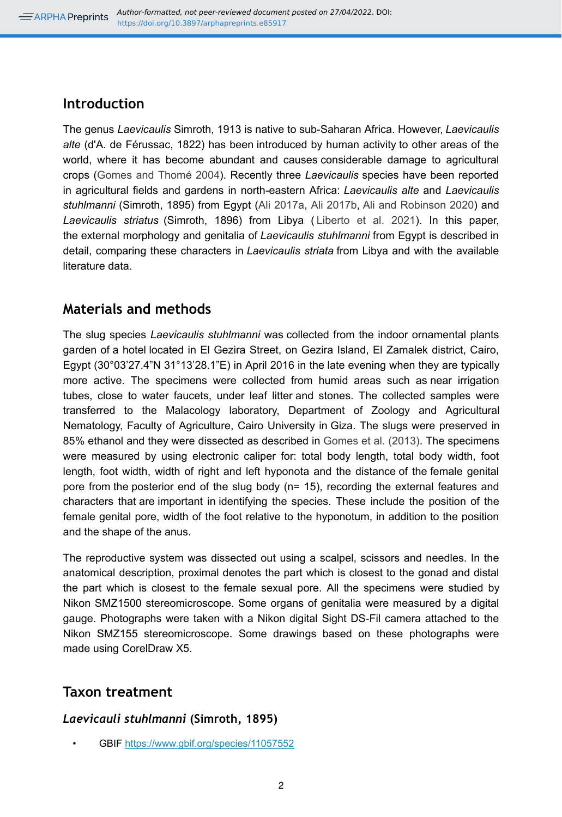## **Introduction**

The genus *Laevicaulis* Simroth, 1913 is native to sub-Saharan Africa. However, *Laevicaulis alte* (d'A. de Férussac, 1822) has been introduced by human activity to other areas of the world, where it has become abundant and causes considerable damage to agricultural crops ([Gomes and Thomé 2004\)](#page-8-0). Recently three *Laevicaulis* species have been reported in agricultural fields and gardens in north-eastern Africa: *Laevicaulis alte* and *Laevicaulis stuhlmanni* (Simroth, 1895) from Egypt ([Ali 2017a](#page-7-0), [Ali 2017b,](#page-7-1) [Ali and Robinson 2020](#page-7-2)) and *Laevicaulis striatus* (Simroth, 1896) from Libya ( [Liberto et al. 2021\)](#page-9-0). In this paper, the external morphology and genitalia of *Laevicaulis stuhlmanni* from Egypt is described in detail, comparing these characters in *Laevicaulis striata* from Libya and with the available literature data.

## **Materials and methods**

The slug species *Laevicaulis stuhlmanni* was collected from the indoor ornamental plants garden of a hotel located in El Gezira Street, on Gezira Island, El Zamalek district, Cairo, Egypt (30°03'27.4"N 31°13'28.1"E) in April 2016 in the late evening when they are typically more active. The specimens were collected from humid areas such as near irrigation tubes, close to water faucets, under leaf litter and stones. The collected samples were transferred to the Malacology laboratory, Department of Zoology and Agricultural Nematology, Faculty of Agriculture, Cairo University in Giza. The slugs were preserved in 85% ethanol and they were dissected as described in [Gomes et al. \(2013\)](#page-8-1). The specimens were measured by using electronic caliper for: total body length, total body width, foot length, foot width, width of right and left hyponota and the distance of the female genital pore from the posterior end of the slug body (n= 15), recording the external features and characters that are important in identifying the species. These include the position of the female genital pore, width of the foot relative to the hyponotum, in addition to the position and the shape of the anus.

The reproductive system was dissected out using a scalpel, scissors and needles. In the anatomical description, proximal denotes the part which is closest to the gonad and distal the part which is closest to the female sexual pore. All the specimens were studied by Nikon SMZ1500 stereomicroscope. Some organs of genitalia were measured by a digital gauge. Photographs were taken with a Nikon digital Sight DS-Fil camera attached to the Nikon SMZ155 stereomicroscope. Some drawings based on these photographs were made using CorelDraw X5.

## **Taxon treatment**

## *Laevicauli stuhlmanni* **(Simroth, 1895)**

• GBIF <https://www.gbif.org/species/11057552>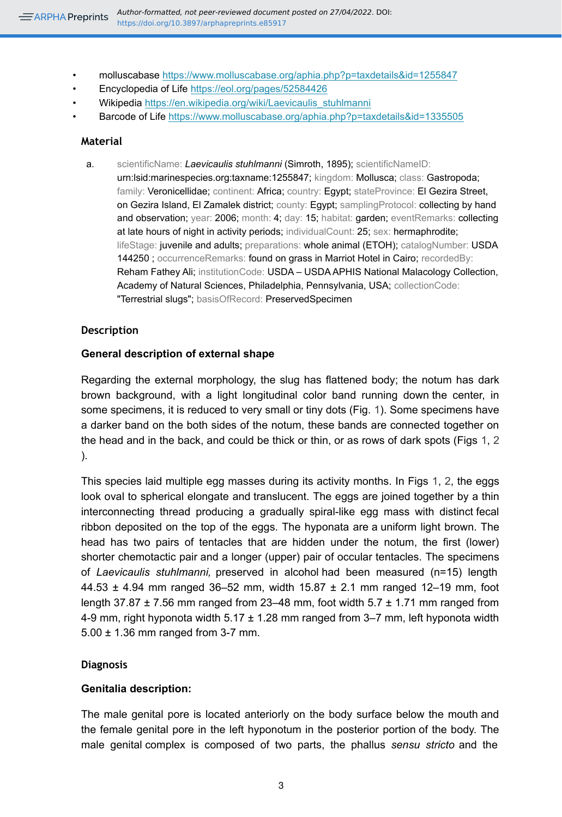- molluscabase<https://www.molluscabase.org/aphia.php?p=taxdetails&id=1255847>
- Encyclopedia of Life <https://eol.org/pages/52584426>
- Wikipedia [https://en.wikipedia.org/wiki/Laevicaulis\\_stuhlmanni](https://en.wikipedia.org/wiki/Laevicaulis_stuhlmanni)
- Barcode of Life [https://www.molluscabase.org/aphia.php?p=taxdetails&id=1335505](http://www.boldsystems.org/index.php/Public_RecordView?processid=https://www.molluscabase.org/aphia.php?p=taxdetails&id=1335505)

#### **Material**

a. scientificName: *Laevicaulis stuhlmanni* (Simroth, 1895); scientificNameID: urn:lsid:marinespecies.org:taxname:1255847; kingdom: Mollusca; class: Gastropoda; family: Veronicellidae; continent: Africa; country: Egypt; stateProvince: El Gezira Street, on Gezira Island, El Zamalek district; county: Egypt; samplingProtocol: collecting by hand and observation; year: 2006; month: 4; day: 15; habitat: garden; eventRemarks: collecting at late hours of night in activity periods; individualCount: 25; sex: hermaphrodite; lifeStage: juvenile and adults; preparations: whole animal (ETOH); catalogNumber: USDA 144250 ; occurrenceRemarks: found on grass in Marriot Hotel in Cairo; recordedBy: Reham Fathey Ali; institutionCode: USDA – USDA APHIS National Malacology Collection, Academy of Natural Sciences, Philadelphia, Pennsylvania, USA; collectionCode: "Terrestrial slugs"; basisOfRecord: PreservedSpecimen

#### **Description**

#### **General description of external shape**

Regarding the external morphology, the slug has flattened body; the notum has dark brown background, with a light longitudinal color band running down the center, in some specimens, it is reduced to very small or tiny dots (Fig. [1](#page-10-0)). Some specimens have a darker band on the both sides of the notum, these bands are connected together on the head and in the back, and could be thick or thin, or as rows of dark spots (Figs [1](#page-10-0), [2](#page-11-0) ).

This species laid multiple egg masses during its activity months. In Figs [1](#page-10-0), [2,](#page-11-0) the eggs look oval to spherical elongate and translucent. The eggs are joined together by a thin interconnecting thread producing a gradually spiral-like egg mass with distinct fecal ribbon deposited on the top of the eggs. The hyponata are a uniform light brown. The head has two pairs of tentacles that are hidden under the notum, the first (lower) shorter chemotactic pair and a longer (upper) pair of occular tentacles. The specimens of *Laevicaulis stuhlmanni,* preserved in alcohol had been measured (n=15) length 44.53  $\pm$  4.94 mm ranged 36-52 mm, width 15.87  $\pm$  2.1 mm ranged 12-19 mm, foot length 37.87  $\pm$  7.56 mm ranged from 23–48 mm, foot width 5.7  $\pm$  1.71 mm ranged from 4-9 mm, right hyponota width  $5.17 \pm 1.28$  mm ranged from 3-7 mm, left hyponota width 5.00 ± 1.36 mm ranged from 3-7 mm.

#### **Diagnosis**

#### **Genitalia description:**

The male genital pore is located anteriorly on the body surface below the mouth and the female genital pore in the left hyponotum in the posterior portion of the body. The male genital complex is composed of two parts, the phallus *sensu stricto* and the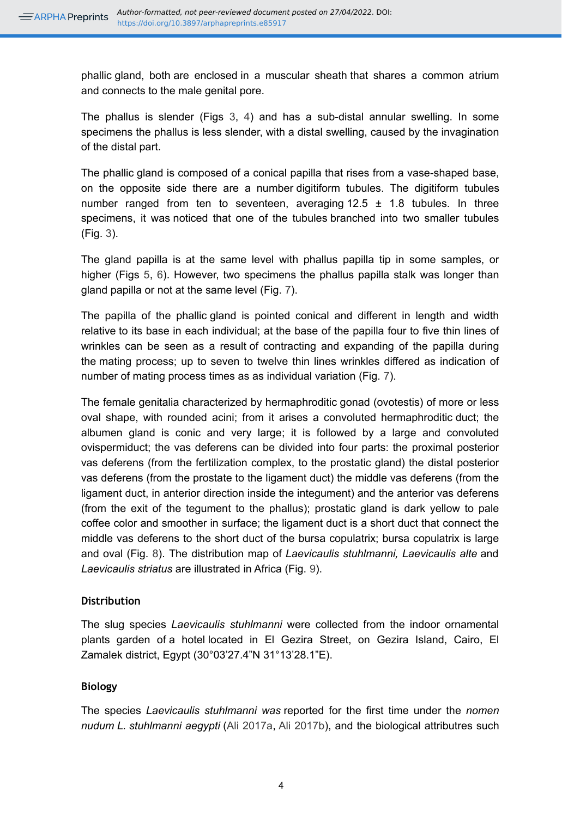phallic gland, both are enclosed in a muscular sheath that shares a common atrium and connects to the male genital pore.

The phallus is slender (Figs [3,](#page-12-0) [4\)](#page-13-0) and has a sub-distal annular swelling. In some specimens the phallus is less slender, with a distal swelling, caused by the invagination of the distal part.

The phallic gland is composed of a conical papilla that rises from a vase-shaped base, on the opposite side there are a number digitiform tubules. The digitiform tubules number ranged from ten to seventeen, averaging  $12.5 \pm 1.8$  tubules. In three specimens, it was noticed that one of the tubules branched into two smaller tubules (Fig. [3\)](#page-12-0).

The gland papilla is at the same level with phallus papilla tip in some samples, or higher (Figs [5,](#page-14-0) [6\)](#page-15-0). However, two specimens the phallus papilla stalk was longer than gland papilla or not at the same level (Fig. [7](#page-16-0)).

The papilla of the phallic gland is pointed conical and different in length and width relative to its base in each individual; at the base of the papilla four to five thin lines of wrinkles can be seen as a result of contracting and expanding of the papilla during the mating process; up to seven to twelve thin lines wrinkles differed as indication of number of mating process times as as individual variation (Fig. [7](#page-16-0)).

The female genitalia characterized by hermaphroditic gonad (ovotestis) of more or less oval shape, with rounded acini; from it arises a convoluted hermaphroditic duct; the albumen gland is conic and very large; it is followed by a large and convoluted ovispermiduct; the vas deferens can be divided into four parts: the proximal posterior vas deferens (from the fertilization complex, to the prostatic gland) the distal posterior vas deferens (from the prostate to the ligament duct) the middle vas deferens (from the ligament duct, in anterior direction inside the integument) and the anterior vas deferens (from the exit of the tegument to the phallus); prostatic gland is dark yellow to pale coffee color and smoother in surface; the ligament duct is a short duct that connect the middle vas deferens to the short duct of the bursa copulatrix; bursa copulatrix is large and oval (Fig. [8\)](#page-17-0). The distribution map of *Laevicaulis stuhlmanni, Laevicaulis alte* and *Laevicaulis striatus* are illustrated in Africa (Fig. [9\)](#page-18-0).

#### **Distribution**

The slug species *Laevicaulis stuhlmanni* were collected from the indoor ornamental plants garden of a hotel located in El Gezira Street, on Gezira Island, Cairo, El Zamalek district, Egypt (30°03'27.4"N 31°13'28.1"E).

#### **Biology**

The species *Laevicaulis stuhlmanni was* reported for the first time under the *nomen nudum L. stuhlmanni aegypti* ([Ali 2017a,](#page-7-0) [Ali 2017b\)](#page-7-1), and the biological attributres such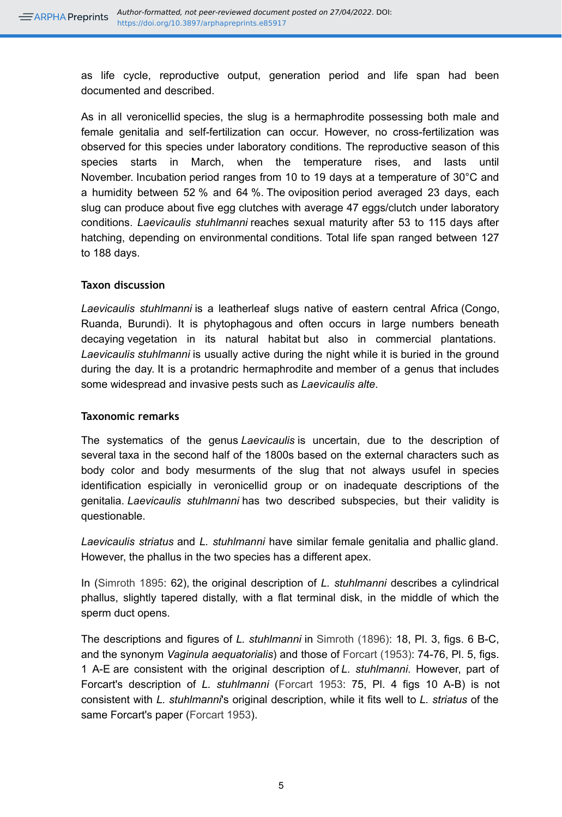as life cycle, reproductive output, generation period and life span had been documented and described.

As in all veronicellid species, the slug is a hermaphrodite possessing both male and female genitalia and self-fertilization can occur. However, no cross-fertilization was observed for this species under laboratory conditions. The reproductive season of this species starts in March, when the temperature rises, and lasts until November. Incubation period ranges from 10 to 19 days at a temperature of 30°C and a humidity between 52 % and 64 %. The oviposition period averaged 23 days, each slug can produce about five egg clutches with average 47 eggs/clutch under laboratory conditions. *Laevicaulis stuhlmanni* reaches sexual maturity after 53 to 115 days after hatching, depending on environmental conditions. Total life span ranged between 127 to 188 days.

#### **Taxon discussion**

*Laevicaulis stuhlmanni* is a leatherleaf slugs native of eastern central Africa (Congo, Ruanda, Burundi). It is phytophagous and often occurs in large numbers beneath decaying vegetation in its natural habitat but also in commercial plantations. *Laevicaulis stuhlmanni* is usually active during the night while it is buried in the ground during the day. It is a protandric hermaphrodite and member of a genus that includes some widespread and invasive pests such as *Laevicaulis alte*.

#### **Taxonomic remarks**

The systematics of the genus *Laevicaulis* is uncertain, due to the description of several taxa in the second half of the 1800s based on the external characters such as body color and body mesurments of the slug that not always usufel in species identification espicially in veronicellid group or on inadequate descriptions of the genitalia. *Laevicaulis stuhlmanni* has two described subspecies, but their validity is questionable.

*Laevicaulis striatus* and *L. stuhlmanni* have similar female genitalia and phallic gland. However, the phallus in the two species has a different apex.

In ([Simroth 1895](#page-9-1): 62), the original description of *L. stuhlmanni* describes a cylindrical phallus, slightly tapered distally, with a flat terminal disk, in the middle of which the sperm duct opens.

The descriptions and figures of *L. stuhlmanni* in [Simroth \(1896\):](#page-9-2) 18, Pl. 3, figs. 6 B-C, and the synonym *Vaginula aequatorialis*) and those of [Forcart \(1953\)](#page-8-2): 74-76, Pl. 5, figs. 1 A-E are consistent with the original description of *L. stuhlmanni*. However, part of Forcart's description of *L. stuhlmanni* ([Forcart 1953](#page-8-2): 75, Pl. 4 figs 10 A-B) is not consistent with *L. stuhlmanni*'s original description, while it fits well to *L. striatus* of the same Forcart's paper ([Forcart 1953\)](#page-8-2).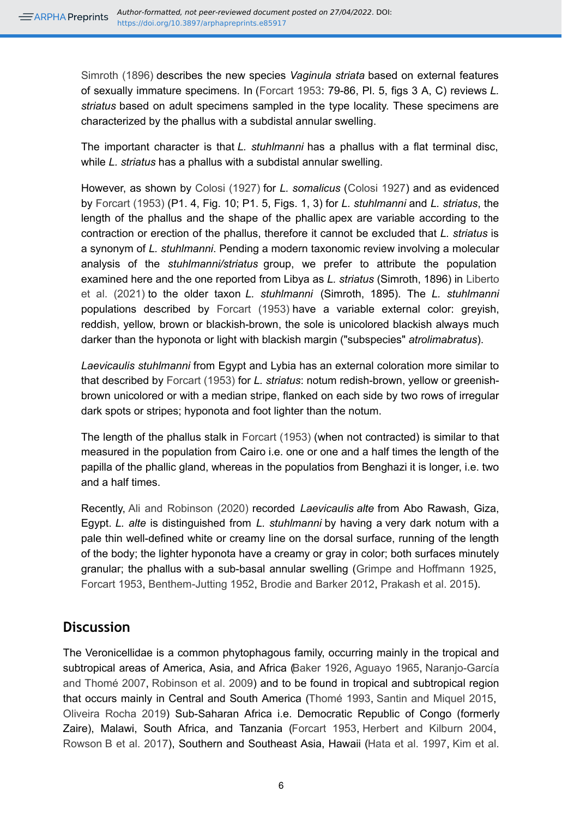[Simroth \(1896\)](#page-9-2) describes the new species *Vaginula striata* based on external features of sexually immature specimens. In ([Forcart 1953](#page-8-2): 79-86, Pl. 5, figs 3 A, C) reviews *L. striatus* based on adult specimens sampled in the type locality. These specimens are characterized by the phallus with a subdistal annular swelling.

The important character is that *L. stuhlmanni* has a phallus with a flat terminal disc, while *L. striatus* has a phallus with a subdistal annular swelling.

However, as shown by [Colosi \(1927\)](#page-8-3) for *L. somalicus* ([Colosi 1927](#page-8-3)) and as evidenced by [Forcart \(1953\)](#page-8-2) (P1. 4, Fig. 10; P1. 5, Figs. 1, 3) for *L. stuhlmanni* and *L. striatus*, the length of the phallus and the shape of the phallic apex are variable according to the contraction or erection of the phallus, therefore it cannot be excluded that *L. striatus* is a synonym of *L. stuhlmanni*. Pending a modern taxonomic review involving a molecular analysis of the *stuhlmanni/striatus* group, we prefer to attribute the population examined here and the one reported from Libya as *L. striatus* (Simroth, 1896) in [Liberto](#page-9-0) [et al. \(2021\)](#page-9-0) to the older taxon *L. stuhlmanni* (Simroth, 1895). The *L. stuhlmanni*  populations described by [Forcart \(1953\)](#page-8-2) have a variable external color: greyish, reddish, yellow, brown or blackish-brown, the sole is unicolored blackish always much darker than the hyponota or light with blackish margin ("subspecies" *atrolimabratus*).

*Laevicaulis stuhlmanni* from Egypt and Lybia has an external coloration more similar to that described by [Forcart \(1953\)](#page-8-2) for *L. striatus*: notum redish-brown, yellow or greenishbrown unicolored or with a median stripe, flanked on each side by two rows of irregular dark spots or stripes; hyponota and foot lighter than the notum.

The length of the phallus stalk in [Forcart \(1953\)](#page-8-2) (when not contracted) is similar to that measured in the population from Cairo i.e. one or one and a half times the length of the papilla of the phallic gland, whereas in the populatios from Benghazi it is longer, i.e. two and a half times.

Recently, [Ali and Robinson \(2020\)](#page-7-2) recorded *Laevicaulis alte* from Abo Rawash, Giza, Egypt. *L. alte* is distinguished from *L. stuhlmanni* by having a very dark notum with a pale thin well-defined white or creamy line on the dorsal surface, running of the length of the body; the lighter hyponota have a creamy or gray in color; both surfaces minutely granular; the phallus with a sub-basal annular swelling [\(Grimpe and Hoffmann 1925](#page-8-4), [Forcart 1953](#page-8-2), [Benthem-Jutting 1952,](#page-8-5) [Brodie and Barker 2012,](#page-8-6) [Prakash et al. 2015](#page-9-3)).

## **Discussion**

The Veronicellidae is a common phytophagous family, occurring mainly in the tropical and subtropical areas of America, Asia, and Africa [\(Baker 1926](#page-7-3), [Aguayo 1965,](#page-7-4) [Naranjo-García](#page-9-4) [and Thomé 2007](#page-9-4), [Robinson et al. 2009](#page-9-5)) and to be found in tropical and subtropical region that occurs mainly in Central and South America [\(Thomé 1993](#page-9-6), [Santin and Miquel 2015](#page-9-7), [Oliveira Rocha 2019](#page-9-8)) Sub-Saharan Africa i.e. Democratic Republic of Congo (formerly Zaire), Malawi, South Africa, and Tanzania [\(Forcart 1953,](#page-8-2) [Herbert and Kilburn 2004](#page-8-7), Rowson [B et al. 2017\)](#page-9-9), Southern and Southeast Asia, Hawaii [\(Hata et al. 1997](#page-8-8), [Kim et al.](#page-9-10)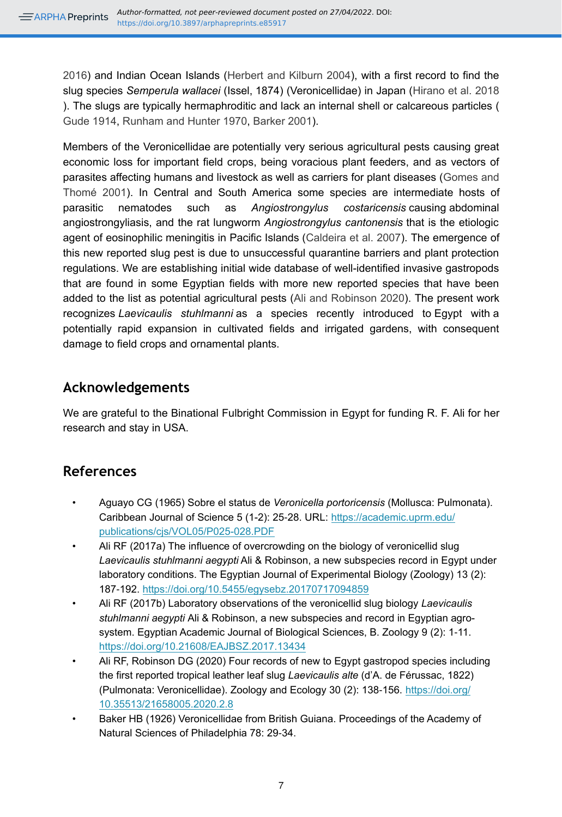[2016](#page-9-10)) and Indian Ocean Islands ([Herbert and Kilburn 2004\)](#page-8-7), with a first record to find the slug species *Semperula wallacei* (Issel, 1874) (Veronicellidae) in Japan [\(Hirano et al. 2018](#page-8-9) ). The slugs are typically hermaphroditic and lack an internal shell or calcareous particles ( [Gude 1914,](#page-8-10) [Runham and Hunter 1970,](#page-9-11) [Barker 2001\)](#page-8-11).

Members of the Veronicellidae are potentially very serious agricultural pests causing great economic loss for important field crops, being voracious plant feeders, and as vectors of parasites affecting humans and livestock as well as carriers for plant diseases ([Gomes and](#page-8-12) [Thomé 2001](#page-8-12)). In Central and South America some species are intermediate hosts of parasitic nematodes such as *Angiostrongylus costaricensis* causing abdominal angiostrongyliasis, and the rat lungworm *Angiostrongylus cantonensis* that is the etiologic agent of eosinophilic meningitis in Pacific Islands [\(Caldeira et al. 2007](#page-8-13)). The emergence of this new reported slug pest is due to unsuccessful quarantine barriers and plant protection regulations. We are establishing initial wide database of well-identified invasive gastropods that are found in some Egyptian fields with more new reported species that have been added to the list as potential agricultural pests [\(Ali and Robinson 2020](#page-7-2)). The present work recognizes *Laevicaulis stuhlmanni* as a species recently introduced to Egypt with a potentially rapid expansion in cultivated fields and irrigated gardens, with consequent damage to field crops and ornamental plants.

## **Acknowledgements**

We are grateful to the Binational Fulbright Commission in Egypt for funding R. F. Ali for her research and stay in USA.

# **References**

- <span id="page-7-4"></span>• Aguayo CG (1965) Sobre el status de *Veronicella portoricensis* (Mollusca: Pulmonata). Caribbean Journal of Science 5 (1-2): 25‑28. URL: [https://academic.uprm.edu/](https://academic.uprm.edu/publications/cjs/VOL05/P025-028.PDF) [publications/cjs/VOL05/P025-028.PDF](https://academic.uprm.edu/publications/cjs/VOL05/P025-028.PDF)
- <span id="page-7-0"></span>• Ali RF (2017a) The influence of overcrowding on the biology of veronicellid slug *Laevicaulis stuhlmanni aegypti* Ali & Robinson, a new subspecies record in Egypt under laboratory conditions. The Egyptian Journal of Experimental Biology (Zoology) 13 (2): 187‑192. <https://doi.org/10.5455/egysebz.20170717094859>
- <span id="page-7-1"></span>• Ali RF (2017b) Laboratory observations of the veronicellid slug biology *Laevicaulis stuhlmanni aegypti* Ali & Robinson, a new subspecies and record in Egyptian agrosystem. Egyptian Academic Journal of Biological Sciences, B. Zoology 9 (2): 1‑11. <https://doi.org/10.21608/EAJBSZ.2017.13434>
- <span id="page-7-2"></span>• Ali RF, Robinson DG (2020) Four records of new to Egypt gastropod species including the first reported tropical leather leaf slug *Laevicaulis alte* (d'A. de Férussac, 1822) (Pulmonata: Veronicellidae). Zoology and Ecology 30 (2): 138-156. [https://doi.org/](https://doi.org/10.35513/21658005.2020.2.8) [10.35513/21658005.2020.2.8](https://doi.org/10.35513/21658005.2020.2.8)
- <span id="page-7-3"></span>• Baker HB (1926) Veronicellidae from British Guiana. Proceedings of the Academy of Natural Sciences of Philadelphia 78: 29‑34.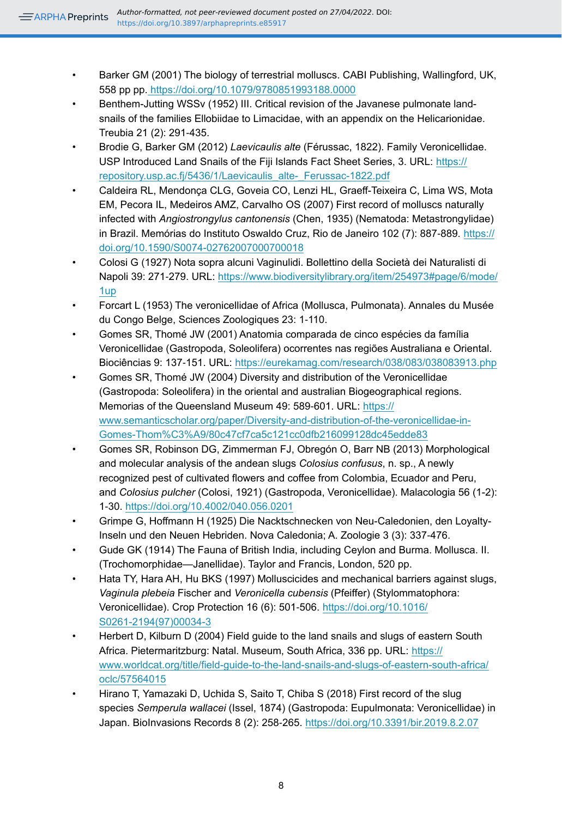- <span id="page-8-11"></span>• Barker GM (2001) The biology of terrestrial molluscs. CABI Publishing, Wallingford, UK, 558 pp pp.<https://doi.org/10.1079/9780851993188.0000>
- <span id="page-8-5"></span>• Benthem-Jutting WSSv (1952) III. Critical revision of the Javanese pulmonate landsnails of the families Ellobiidae to Limacidae, with an appendix on the Helicarionidae. Treubia 21 (2): 291‑435.
- <span id="page-8-6"></span>• Brodie G, Barker GM (2012) *Laevicaulis alte* (Férussac, 1822). Family Veronicellidae. USP Introduced Land Snails of the Fiji Islands Fact Sheet Series, 3. URL: [https://](https://repository.usp.ac.fj/5436/1/Laevicaulis_alte-_Ferussac-1822.pdf) [repository.usp.ac.fj/5436/1/Laevicaulis\\_alte-\\_Ferussac-1822.pdf](https://repository.usp.ac.fj/5436/1/Laevicaulis_alte-_Ferussac-1822.pdf)
- <span id="page-8-13"></span>• Caldeira RL, Mendonça CLG, Goveia CO, Lenzi HL, Graeff-Teixeira C, Lima WS, Mota EM, Pecora IL, Medeiros AMZ, Carvalho OS (2007) First record of molluscs naturally infected with *Angiostrongylus cantonensis* (Chen, 1935) (Nematoda: Metastrongylidae) in Brazil. Memórias do Instituto Oswaldo Cruz, Rio de Janeiro 102 (7): 887‑889. [https://](https://doi.org/10.1590/S0074-02762007000700018) [doi.org/10.1590/S0074-02762007000700018](https://doi.org/10.1590/S0074-02762007000700018)
- <span id="page-8-3"></span>• Colosi G (1927) Nota sopra alcuni Vaginulidi. Bollettino della Società dei Naturalisti di Napoli 39: 271-279. URL: [https://www.biodiversitylibrary.org/item/254973#page/6/mode/](https://www.biodiversitylibrary.org/item/254973#page/6/mode/1up) [1up](https://www.biodiversitylibrary.org/item/254973#page/6/mode/1up)
- <span id="page-8-2"></span>• Forcart L (1953) The veronicellidae of Africa (Mollusca, Pulmonata). Annales du Musée du Congo Belge, Sciences Zoologiques 23: 1‑110.
- <span id="page-8-12"></span>• Gomes SR, Thomé JW (2001) Anatomia comparada de cinco espécies da família Veronicellidae (Gastropoda, Soleolifera) ocorrentes nas regiões Australiana e Oriental. Biociências 9: 137-151. URL: <https://eurekamag.com/research/038/083/038083913.php>
- <span id="page-8-0"></span>• Gomes SR, Thomé JW (2004) Diversity and distribution of the Veronicellidae (Gastropoda: Soleolifera) in the oriental and australian Biogeographical regions. Memorias of the Queensland Museum 49: 589‑601. URL: [https://](https://www.semanticscholar.org/paper/Diversity-and-distribution-of-the-veronicellidae-in-Gomes-Thom%C3%A9/80c47cf7ca5c121cc0dfb216099128dc45edde83) [www.semanticscholar.org/paper/Diversity-and-distribution-of-the-veronicellidae-in-](https://www.semanticscholar.org/paper/Diversity-and-distribution-of-the-veronicellidae-in-Gomes-Thom%C3%A9/80c47cf7ca5c121cc0dfb216099128dc45edde83)[Gomes-Thom%C3%A9/80c47cf7ca5c121cc0dfb216099128dc45edde83](https://www.semanticscholar.org/paper/Diversity-and-distribution-of-the-veronicellidae-in-Gomes-Thom%C3%A9/80c47cf7ca5c121cc0dfb216099128dc45edde83)
- <span id="page-8-1"></span>• Gomes SR, Robinson DG, Zimmerman FJ, Obregón O, Barr NB (2013) Morphological and molecular analysis of the andean slugs *Colosius confusus*, n. sp., A newly recognized pest of cultivated flowers and coffee from Colombia, Ecuador and Peru, and *Colosius pulcher* (Colosi, 1921) (Gastropoda, Veronicellidae). Malacologia 56 (1-2): 1‑30.<https://doi.org/10.4002/040.056.0201>
- <span id="page-8-4"></span>• Grimpe G, Hoffmann H (1925) Die Nacktschnecken von Neu-Caledonien, den Loyalty-Inseln und den Neuen Hebriden. Nova Caledonia; A. Zoologie 3 (3): 337‑476.
- <span id="page-8-10"></span>• Gude GK (1914) The Fauna of British India, including Ceylon and Burma. Mollusca. II. (Trochomorphidae—Janellidae). Taylor and Francis, London, 520 pp.
- <span id="page-8-8"></span>• Hata TY, Hara AH, Hu BKS (1997) Molluscicides and mechanical barriers against slugs, *Vaginula plebeia* Fischer and *Veronicella cubensis* (Pfeiffer) (Stylommatophora: Veronicellidae). Crop Protection 16 (6): 501‑506. [https://doi.org/10.1016/](https://doi.org/10.1016/S0261-2194(97)00034-3) [S0261-2194\(97\)00034-3](https://doi.org/10.1016/S0261-2194(97)00034-3)
- <span id="page-8-7"></span>• Herbert D, Kilburn D (2004) Field guide to the land snails and slugs of eastern South Africa. Pietermaritzburg: Natal. Museum, South Africa, 336 pp. URL: [https://](https://www.worldcat.org/title/field-guide-to-the-land-snails-and-slugs-of-eastern-south-africa/oclc/57564015) [www.worldcat.org/title/field-guide-to-the-land-snails-and-slugs-of-eastern-south-africa/](https://www.worldcat.org/title/field-guide-to-the-land-snails-and-slugs-of-eastern-south-africa/oclc/57564015) [oclc/57564015](https://www.worldcat.org/title/field-guide-to-the-land-snails-and-slugs-of-eastern-south-africa/oclc/57564015)
- <span id="page-8-9"></span>• Hirano T, Yamazaki D, Uchida S, Saito T, Chiba S (2018) First record of the slug species *Semperula wallacei* (Issel, 1874) (Gastropoda: Eupulmonata: Veronicellidae) in Japan. BioInvasions Records 8 (2): 258‑265. <https://doi.org/10.3391/bir.2019.8.2.07>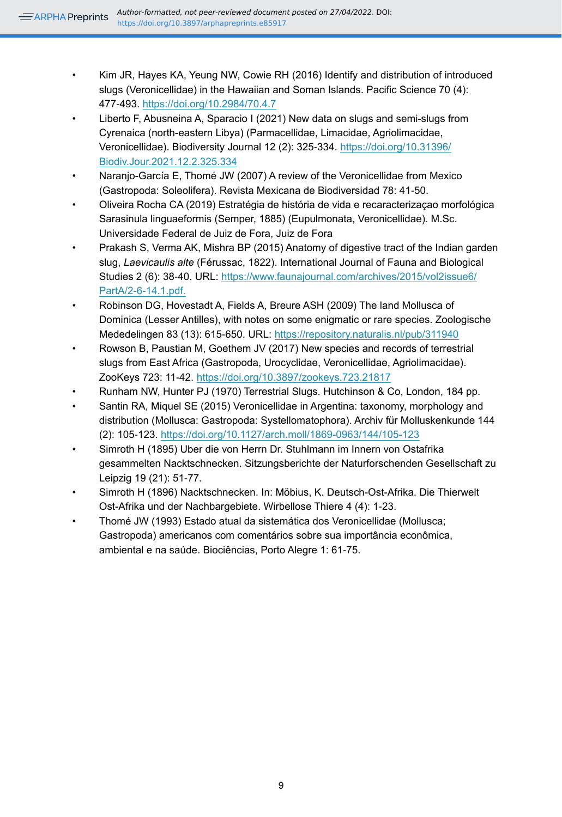- <span id="page-9-10"></span>• Kim JR, Hayes KA, Yeung NW, Cowie RH (2016) Identify and distribution of introduced slugs (Veronicellidae) in the Hawaiian and Soman Islands. Pacific Science 70 (4): 477‑493. <https://doi.org/10.2984/70.4.7>
- <span id="page-9-0"></span>• Liberto F, Abusneina A, Sparacio I (2021) New data on slugs and semi-slugs from Cyrenaica (north-eastern Libya) (Parmacellidae, Limacidae, Agriolimacidae, Veronicellidae). Biodiversity Journal 12 (2): 325‑334. [https://doi.org/10.31396/](https://doi.org/10.31396/Biodiv.Jour.2021.12.2.325.334) [Biodiv.Jour.2021.12.2.325.334](https://doi.org/10.31396/Biodiv.Jour.2021.12.2.325.334)
- <span id="page-9-4"></span>• Naranjo-García E, Thomé JW (2007) A review of the Veronicellidae from Mexico (Gastropoda: Soleolifera). Revista Mexicana de Biodiversidad 78: 41‑50.
- <span id="page-9-8"></span>• Oliveira Rocha CA (2019) Estratégia de história de vida e recaracterizaçao morfológica Sarasinula linguaeformis (Semper, 1885) (Eupulmonata, Veronicellidae). M.Sc. Universidade Federal de Juiz de Fora, Juiz de Fora
- <span id="page-9-3"></span>• Prakash S, Verma AK, Mishra BP (2015) Anatomy of digestive tract of the Indian garden slug, *Laevicaulis alte* (Férussac, 1822). International Journal of Fauna and Biological Studies 2 (6): 38-40. URL: [https://www.faunajournal.com/archives/2015/vol2issue6/](https://www.faunajournal.com/archives/2015/vol2issue6/PartA/2-6-14.1.pdf.) [PartA/2-6-14.1.pdf.](https://www.faunajournal.com/archives/2015/vol2issue6/PartA/2-6-14.1.pdf.)
- <span id="page-9-5"></span>• Robinson DG, Hovestadt A, Fields A, Breure ASH (2009) The land Mollusca of Dominica (Lesser Antilles), with notes on some enigmatic or rare species. Zoologische Mededelingen 83 (13): 615‑650. URL:<https://repository.naturalis.nl/pub/311940>
- <span id="page-9-9"></span>• Rowson B, Paustian M, Goethem JV (2017) New species and records of terrestrial slugs from East Africa (Gastropoda, Urocyclidae, Veronicellidae, Agriolimacidae). ZooKeys 723: 11‑42. <https://doi.org/10.3897/zookeys.723.21817>
- <span id="page-9-11"></span>• Runham NW, Hunter PJ (1970) Terrestrial Slugs. Hutchinson & Co, London, 184 pp.
- <span id="page-9-7"></span>• Santin RA, Miquel SE (2015) Veronicellidae in Argentina: taxonomy, morphology and distribution (Mollusca: Gastropoda: Systellomatophora). Archiv für Molluskenkunde 144 (2): 105‑123. <https://doi.org/10.1127/arch.moll/1869-0963/144/105-123>
- <span id="page-9-1"></span>• Simroth H (1895) Uber die von Herrn Dr. Stuhlmann im Innern von Ostafrika gesammelten Nacktschnecken. Sitzungsberichte der Naturforschenden Gesellschaft zu Leipzig 19 (21): 51‑77.
- <span id="page-9-2"></span>• Simroth H (1896) Nacktschnecken. In: Möbius, K. Deutsch-Ost-Afrika. Die Thierwelt Ost-Afrika und der Nachbargebiete. Wirbellose Thiere 4 (4): 1‑23.
- <span id="page-9-6"></span>• Thomé JW (1993) Estado atual da sistemática dos Veronicellidae (Mollusca; Gastropoda) americanos com comentários sobre sua importância econômica, ambiental e na saúde. Biociências, Porto Alegre 1: 61‑75.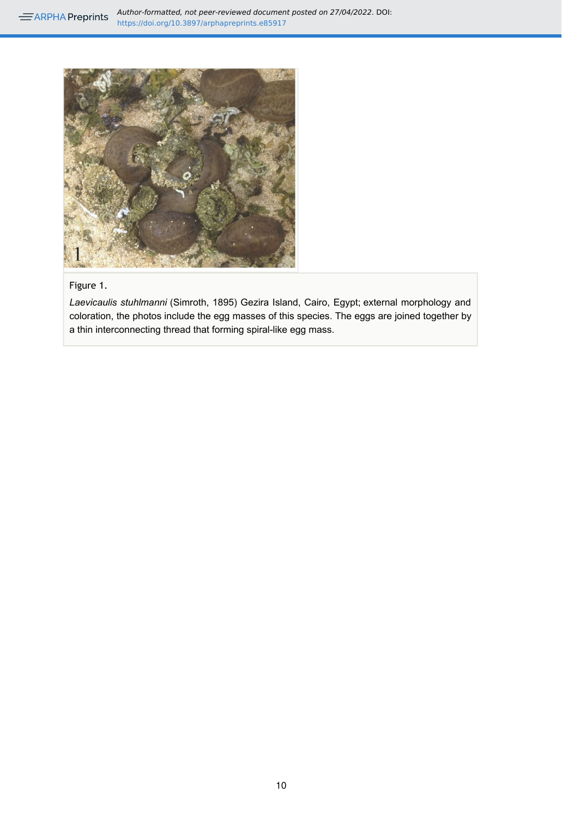<span id="page-10-0"></span>

#### Figure 1.

*Laevicaulis stuhlmanni* (Simroth, 1895) Gezira Island, Cairo, Egypt; external morphology and coloration, the photos include the egg masses of this species. The eggs are joined together by a thin interconnecting thread that forming spiral-like egg mass.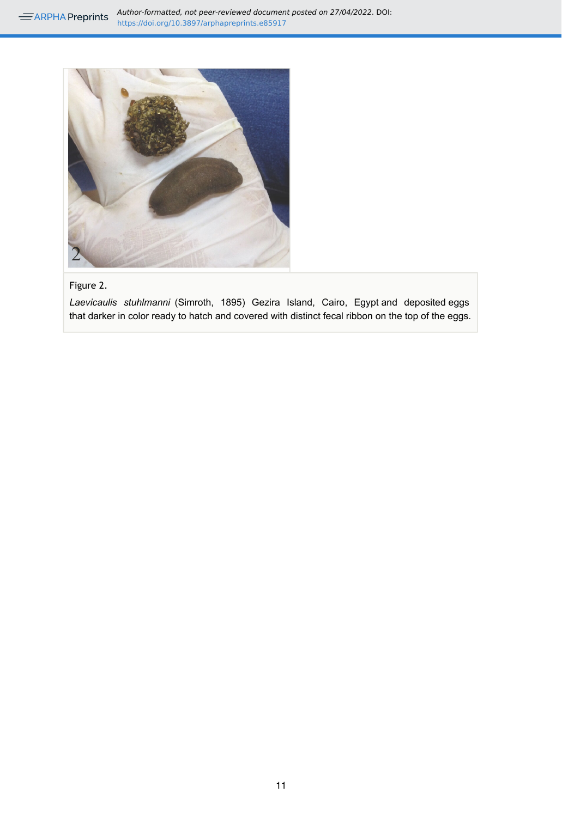<span id="page-11-0"></span>

## Figure 2.

*Laevicaulis stuhlmanni* (Simroth, 1895) Gezira Island, Cairo, Egypt and deposited eggs that darker in color ready to hatch and covered with distinct fecal ribbon on the top of the eggs.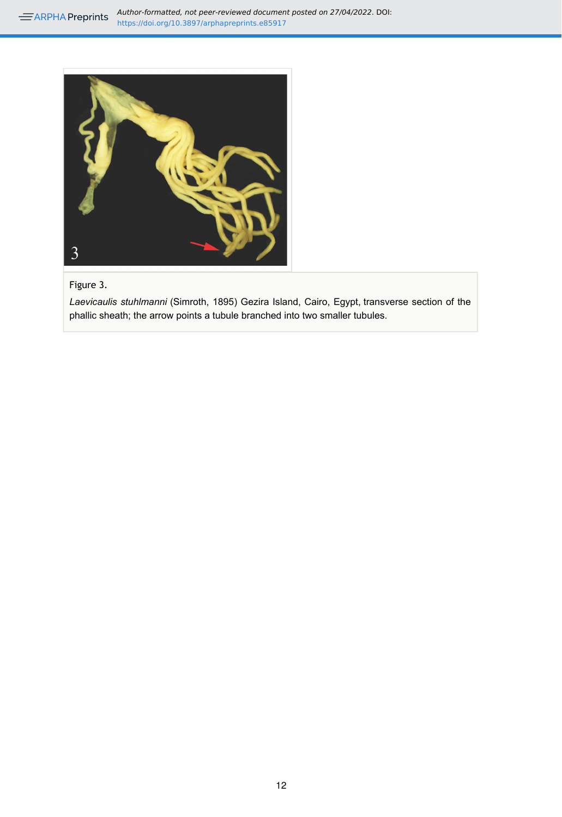**AUTHOR-Formatted, not peer-reviewed document posted on 27/04/2022. DOI:** https://doi.org/10.3897/arphapreprints.e85917

<span id="page-12-0"></span>

#### Figure 3.

*Laevicaulis stuhlmanni* (Simroth, 1895) Gezira Island, Cairo, Egypt, transverse section of the phallic sheath; the arrow points a tubule branched into two smaller tubules.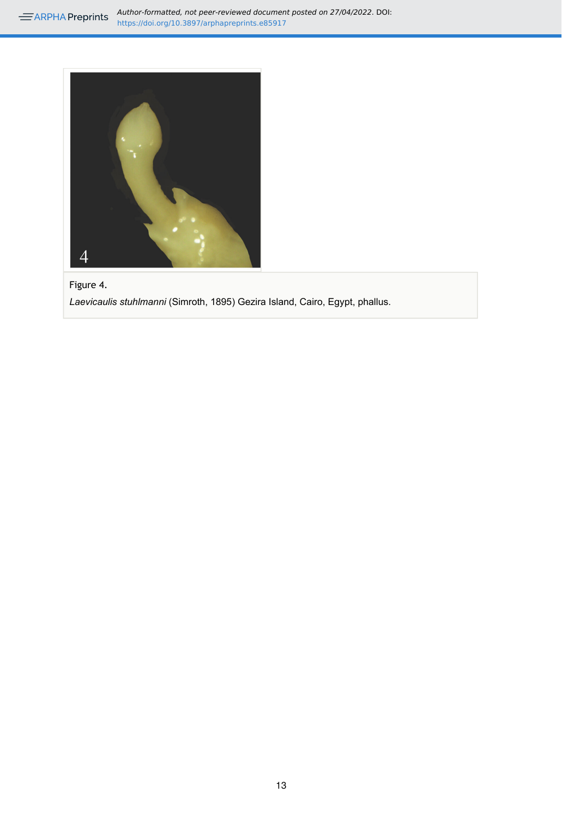<span id="page-13-0"></span>

Figure 4.

*Laevicaulis stuhlmanni* (Simroth, 1895) Gezira Island, Cairo, Egypt, phallus.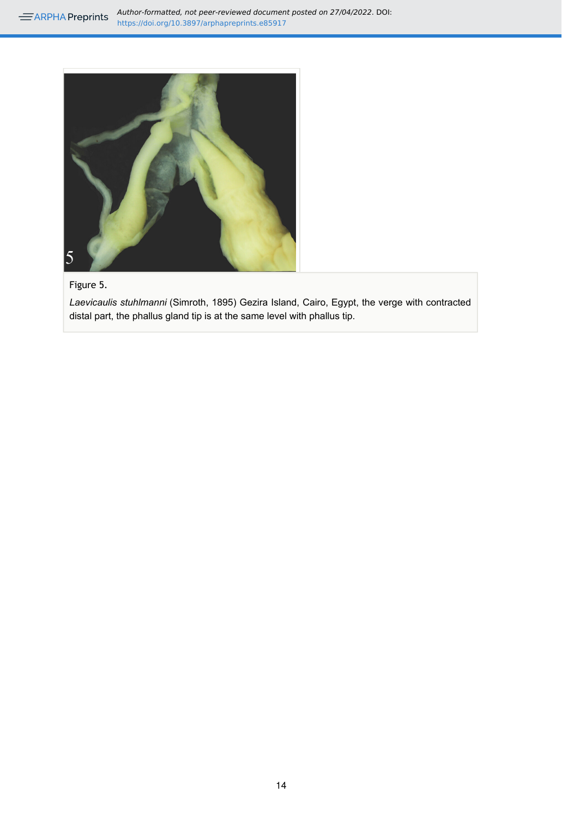<span id="page-14-0"></span>

#### Figure 5.

*Laevicaulis stuhlmanni* (Simroth, 1895) Gezira Island, Cairo, Egypt, the verge with contracted distal part, the phallus gland tip is at the same level with phallus tip.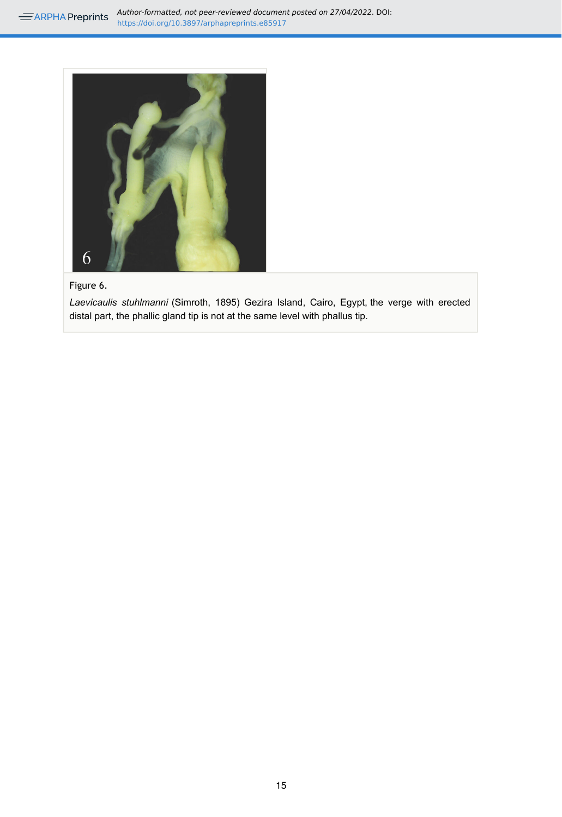<span id="page-15-0"></span>

## Figure 6.

*Laevicaulis stuhlmanni* (Simroth, 1895) Gezira Island, Cairo, Egypt, the verge with erected distal part, the phallic gland tip is not at the same level with phallus tip.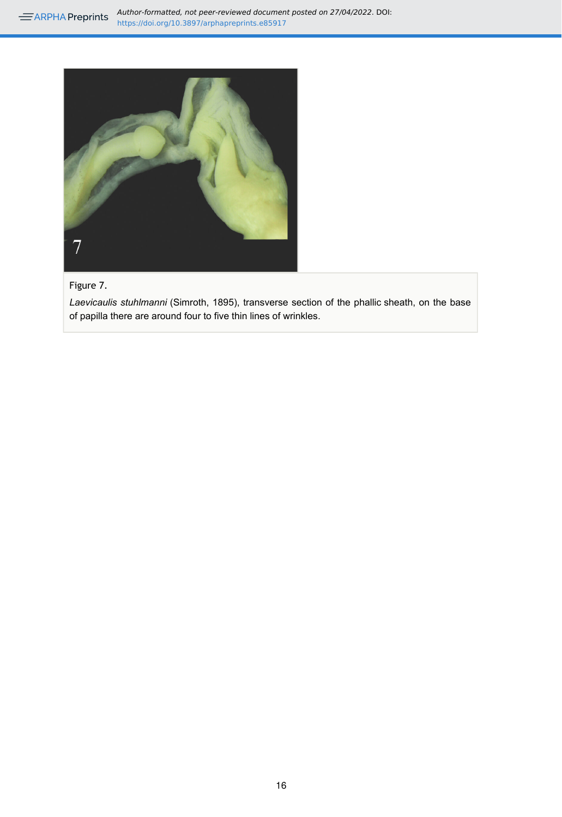**AUTHOR-Formatted, not peer-reviewed document posted on 27/04/2022. DOI:** https://doi.org/10.3897/arphapreprints.e85917

<span id="page-16-0"></span>![](_page_16_Picture_1.jpeg)

## Figure 7.

*Laevicaulis stuhlmanni* (Simroth, 1895), transverse section of the phallic sheath, on the base of papilla there are around four to five thin lines of wrinkles.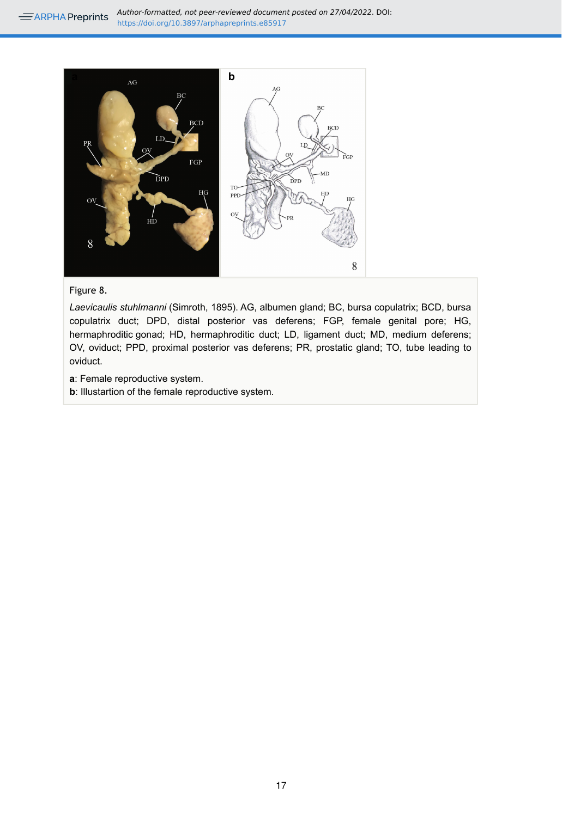<span id="page-17-0"></span>![](_page_17_Figure_1.jpeg)

#### Figure 8.

*Laevicaulis stuhlmanni* (Simroth, 1895). AG, albumen gland; BC, bursa copulatrix; BCD, bursa copulatrix duct; DPD, distal posterior vas deferens; FGP, female genital pore; HG, hermaphroditic gonad; HD, hermaphroditic duct; LD, ligament duct; MD, medium deferens; OV, oviduct; PPD, proximal posterior vas deferens; PR, prostatic gland; TO, tube leading to oviduct.

- **a**: Female reproductive system.
- **b**: Illustartion of the female reproductive system.